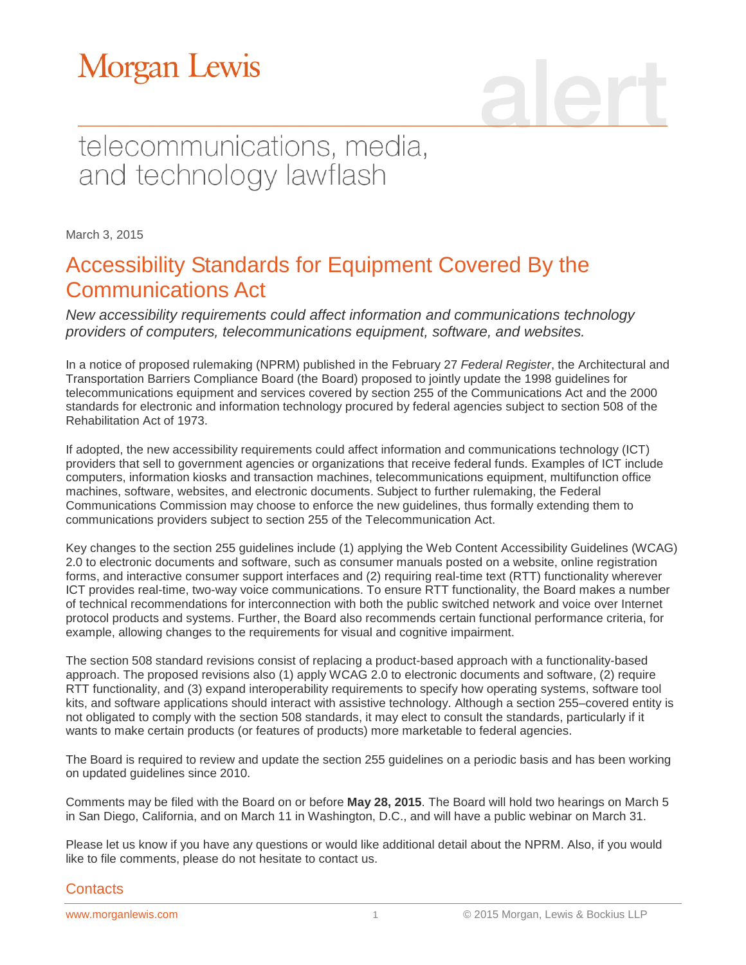# **Morgan Lewis**

## telecommunications, media, and technology lawflash

March 3, 2015

### Accessibility Standards for Equipment Covered By the Communications Act

*New accessibility requirements could affect information and communications technology providers of computers, telecommunications equipment, software, and websites.*

In a notice of proposed rulemaking (NPRM) published in the February 27 *Federal Register*, the Architectural and Transportation Barriers Compliance Board (the Board) proposed to jointly update the 1998 guidelines for telecommunications equipment and services covered by section 255 of the Communications Act and the 2000 standards for electronic and information technology procured by federal agencies subject to section 508 of the Rehabilitation Act of 1973.

If adopted, the new accessibility requirements could affect information and communications technology (ICT) providers that sell to government agencies or organizations that receive federal funds. Examples of ICT include computers, information kiosks and transaction machines, telecommunications equipment, multifunction office machines, software, websites, and electronic documents. Subject to further rulemaking, the Federal Communications Commission may choose to enforce the new guidelines, thus formally extending them to communications providers subject to section 255 of the Telecommunication Act.

Key changes to the section 255 guidelines include (1) applying the Web Content Accessibility Guidelines (WCAG) 2.0 to electronic documents and software, such as consumer manuals posted on a website, online registration forms, and interactive consumer support interfaces and (2) requiring real-time text (RTT) functionality wherever ICT provides real-time, two-way voice communications. To ensure RTT functionality, the Board makes a number of technical recommendations for interconnection with both the public switched network and voice over Internet protocol products and systems. Further, the Board also recommends certain functional performance criteria, for example, allowing changes to the requirements for visual and cognitive impairment.

The section 508 standard revisions consist of replacing a product-based approach with a functionality-based approach. The proposed revisions also (1) apply WCAG 2.0 to electronic documents and software, (2) require RTT functionality, and (3) expand interoperability requirements to specify how operating systems, software tool kits, and software applications should interact with assistive technology. Although a section 255–covered entity is not obligated to comply with the section 508 standards, it may elect to consult the standards, particularly if it wants to make certain products (or features of products) more marketable to federal agencies.

The Board is required to review and update the section 255 guidelines on a periodic basis and has been working on updated guidelines since 2010.

Comments may be filed with the Board on or before **May 28, 2015**. The Board will hold two hearings on March 5 in San Diego, California, and on March 11 in Washington, D.C., and will have a public webinar on March 31.

Please let us know if you have any questions or would like additional detail about the NPRM. Also, if you would like to file comments, please do not hesitate to contact us.

#### **Contacts**